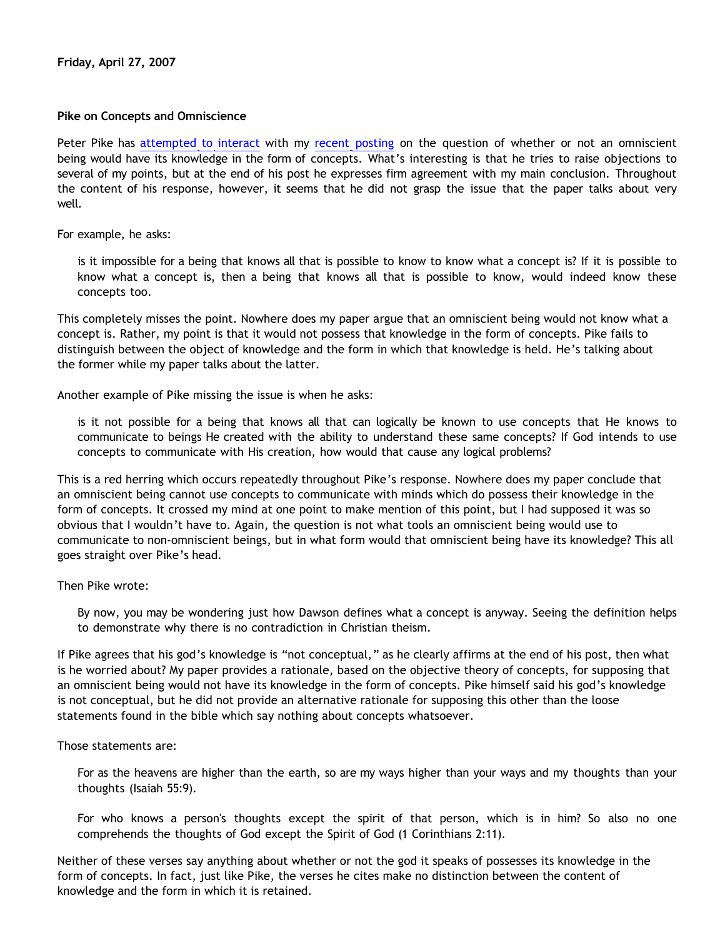# **Pike on Concepts and Omniscience**

Peter Pike has [attempted to interact](http://triablogue.blogspot.com/2007/04/dawsons-concepts.html) with my [recent posting](http://bahnsenburner.blogspot.com/2007/04/would-omniscient-mind-have-knowledge-in.html) on the question of whether or not an omniscient being would have its knowledge in the form of concepts. What's interesting is that he tries to raise objections to several of my points, but at the end of his post he expresses firm agreement with my main conclusion. Throughout the content of his response, however, it seems that he did not grasp the issue that the paper talks about very well.

For example, he asks:

is it impossible for a being that knows all that is possible to know to know what a concept is? If it is possible to know what a concept is, then a being that knows all that is possible to know, would indeed know these concepts too.

This completely misses the point. Nowhere does my paper argue that an omniscient being would not know what a concept is. Rather, my point is that it would not possess that knowledge in the form of concepts. Pike fails to distinguish between the object of knowledge and the form in which that knowledge is held. He's talking about the former while my paper talks about the latter.

Another example of Pike missing the issue is when he asks:

is it not possible for a being that knows all that can logically be known to use concepts that He knows to communicate to beings He created with the ability to understand these same concepts? If God intends to use concepts to communicate with His creation, how would that cause any logical problems?

This is a red herring which occurs repeatedly throughout Pike's response. Nowhere does my paper conclude that an omniscient being cannot use concepts to communicate with minds which do possess their knowledge in the form of concepts. It crossed my mind at one point to make mention of this point, but I had supposed it was so obvious that I wouldn't have to. Again, the question is not what tools an omniscient being would use to communicate to non-omniscient beings, but in what form would that omniscient being have its knowledge? This all goes straight over Pike's head.

Then Pike wrote:

By now, you may be wondering just how Dawson defines what a concept is anyway. Seeing the definition helps to demonstrate why there is no contradiction in Christian theism.

If Pike agrees that his god's knowledge is "not conceptual," as he clearly affirms at the end of his post, then what is he worried about? My paper provides a rationale, based on the objective theory of concepts, for supposing that an omniscient being would not have its knowledge in the form of concepts. Pike himself said his god's knowledge is not conceptual, but he did not provide an alternative rationale for supposing this other than the loose statements found in the bible which say nothing about concepts whatsoever.

Those statements are:

For as the heavens are higher than the earth, so are my ways higher than your ways and my thoughts than your thoughts (Isaiah 55:9).

For who knows a person's thoughts except the spirit of that person, which is in him? So also no one comprehends the thoughts of God except the Spirit of God (1 Corinthians 2:11).

Neither of these verses say anything about whether or not the god it speaks of possesses its knowledge in the form of concepts. In fact, just like Pike, the verses he cites make no distinction between the content of knowledge and the form in which it is retained.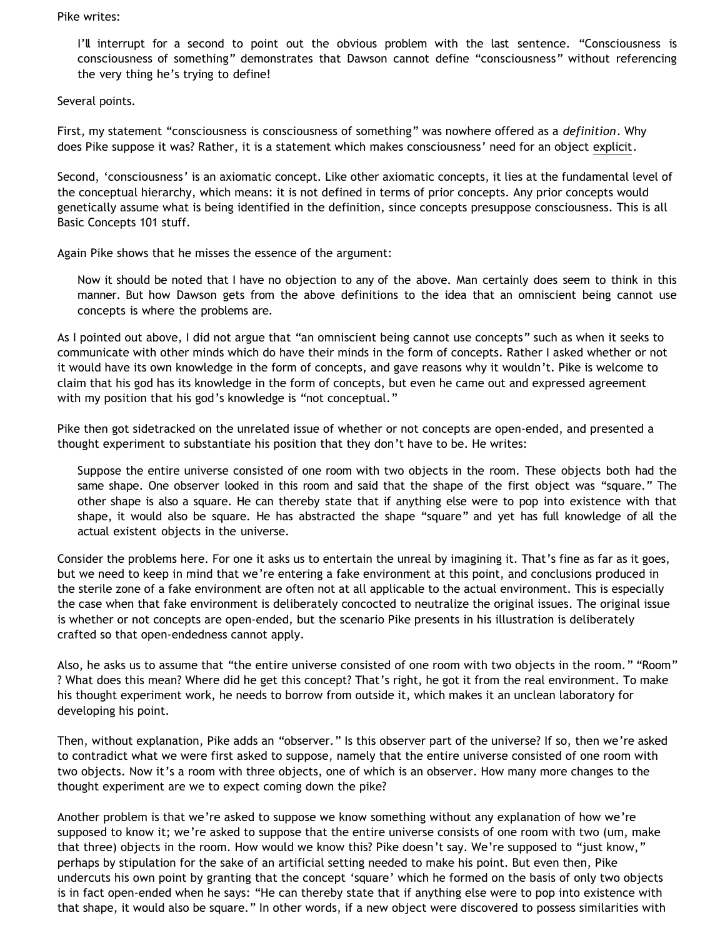# Pike writes:

I'll interrupt for a second to point out the obvious problem with the last sentence. "Consciousness is consciousness of something" demonstrates that Dawson cannot define "consciousness" without referencing the very thing he's trying to define!

Several points.

First, my statement "consciousness is consciousness of something" was nowhere offered as a *definition*. Why does Pike suppose it was? Rather, it is a statement which makes consciousness' need for an object explicit.

Second, 'consciousness' is an axiomatic concept. Like other axiomatic concepts, it lies at the fundamental level of the conceptual hierarchy, which means: it is not defined in terms of prior concepts. Any prior concepts would genetically assume what is being identified in the definition, since concepts presuppose consciousness. This is all Basic Concepts 101 stuff.

Again Pike shows that he misses the essence of the argument:

Now it should be noted that I have no objection to any of the above. Man certainly does seem to think in this manner. But how Dawson gets from the above definitions to the idea that an omniscient being cannot use concepts is where the problems are.

As I pointed out above, I did not argue that "an omniscient being cannot use concepts" such as when it seeks to communicate with other minds which do have their minds in the form of concepts. Rather I asked whether or not it would have its own knowledge in the form of concepts, and gave reasons why it wouldn't. Pike is welcome to claim that his god has its knowledge in the form of concepts, but even he came out and expressed agreement with my position that his god's knowledge is "not conceptual."

Pike then got sidetracked on the unrelated issue of whether or not concepts are open-ended, and presented a thought experiment to substantiate his position that they don't have to be. He writes:

Suppose the entire universe consisted of one room with two objects in the room. These objects both had the same shape. One observer looked in this room and said that the shape of the first object was "square." The other shape is also a square. He can thereby state that if anything else were to pop into existence with that shape, it would also be square. He has abstracted the shape "square" and yet has full knowledge of all the actual existent objects in the universe.

Consider the problems here. For one it asks us to entertain the unreal by imagining it. That's fine as far as it goes, but we need to keep in mind that we're entering a fake environment at this point, and conclusions produced in the sterile zone of a fake environment are often not at all applicable to the actual environment. This is especially the case when that fake environment is deliberately concocted to neutralize the original issues. The original issue is whether or not concepts are open-ended, but the scenario Pike presents in his illustration is deliberately crafted so that open-endedness cannot apply.

Also, he asks us to assume that "the entire universe consisted of one room with two objects in the room." "Room" ? What does this mean? Where did he get this concept? That's right, he got it from the real environment. To make his thought experiment work, he needs to borrow from outside it, which makes it an unclean laboratory for developing his point.

Then, without explanation, Pike adds an "observer." Is this observer part of the universe? If so, then we're asked to contradict what we were first asked to suppose, namely that the entire universe consisted of one room with two objects. Now it's a room with three objects, one of which is an observer. How many more changes to the thought experiment are we to expect coming down the pike?

Another problem is that we're asked to suppose we know something without any explanation of how we're supposed to know it; we're asked to suppose that the entire universe consists of one room with two (um, make that three) objects in the room. How would we know this? Pike doesn't say. We're supposed to "just know," perhaps by stipulation for the sake of an artificial setting needed to make his point. But even then, Pike undercuts his own point by granting that the concept 'square' which he formed on the basis of only two objects is in fact open-ended when he says: "He can thereby state that if anything else were to pop into existence with that shape, it would also be square." In other words, if a new object were discovered to possess similarities with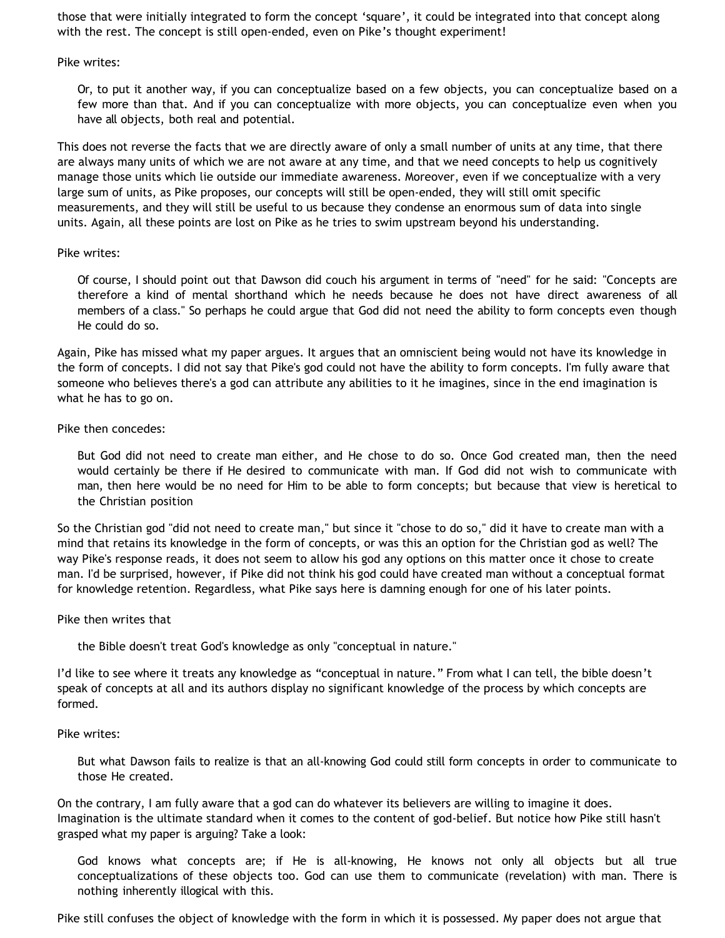those that were initially integrated to form the concept 'square', it could be integrated into that concept along with the rest. The concept is still open-ended, even on Pike's thought experiment!

# Pike writes:

Or, to put it another way, if you can conceptualize based on a few objects, you can conceptualize based on a few more than that. And if you can conceptualize with more objects, you can conceptualize even when you have all objects, both real and potential.

This does not reverse the facts that we are directly aware of only a small number of units at any time, that there are always many units of which we are not aware at any time, and that we need concepts to help us cognitively manage those units which lie outside our immediate awareness. Moreover, even if we conceptualize with a very large sum of units, as Pike proposes, our concepts will still be open-ended, they will still omit specific measurements, and they will still be useful to us because they condense an enormous sum of data into single units. Again, all these points are lost on Pike as he tries to swim upstream beyond his understanding.

## Pike writes:

Of course, I should point out that Dawson did couch his argument in terms of "need" for he said: "Concepts are therefore a kind of mental shorthand which he needs because he does not have direct awareness of all members of a class." So perhaps he could argue that God did not need the ability to form concepts even though He could do so.

Again, Pike has missed what my paper argues. It argues that an omniscient being would not have its knowledge in the form of concepts. I did not say that Pike's god could not have the ability to form concepts. I'm fully aware that someone who believes there's a god can attribute any abilities to it he imagines, since in the end imagination is what he has to go on.

## Pike then concedes:

But God did not need to create man either, and He chose to do so. Once God created man, then the need would certainly be there if He desired to communicate with man. If God did not wish to communicate with man, then here would be no need for Him to be able to form concepts; but because that view is heretical to the Christian position

So the Christian god "did not need to create man," but since it "chose to do so," did it have to create man with a mind that retains its knowledge in the form of concepts, or was this an option for the Christian god as well? The way Pike's response reads, it does not seem to allow his god any options on this matter once it chose to create man. I'd be surprised, however, if Pike did not think his god could have created man without a conceptual format for knowledge retention. Regardless, what Pike says here is damning enough for one of his later points.

#### Pike then writes that

the Bible doesn't treat God's knowledge as only "conceptual in nature."

I'd like to see where it treats any knowledge as "conceptual in nature." From what I can tell, the bible doesn't speak of concepts at all and its authors display no significant knowledge of the process by which concepts are formed.

#### Pike writes:

But what Dawson fails to realize is that an all-knowing God could still form concepts in order to communicate to those He created.

On the contrary, I am fully aware that a god can do whatever its believers are willing to imagine it does. Imagination is the ultimate standard when it comes to the content of god-belief. But notice how Pike still hasn't grasped what my paper is arguing? Take a look:

God knows what concepts are; if He is all-knowing, He knows not only all objects but all true conceptualizations of these objects too. God can use them to communicate (revelation) with man. There is nothing inherently illogical with this.

Pike still confuses the object of knowledge with the form in which it is possessed. My paper does not argue that